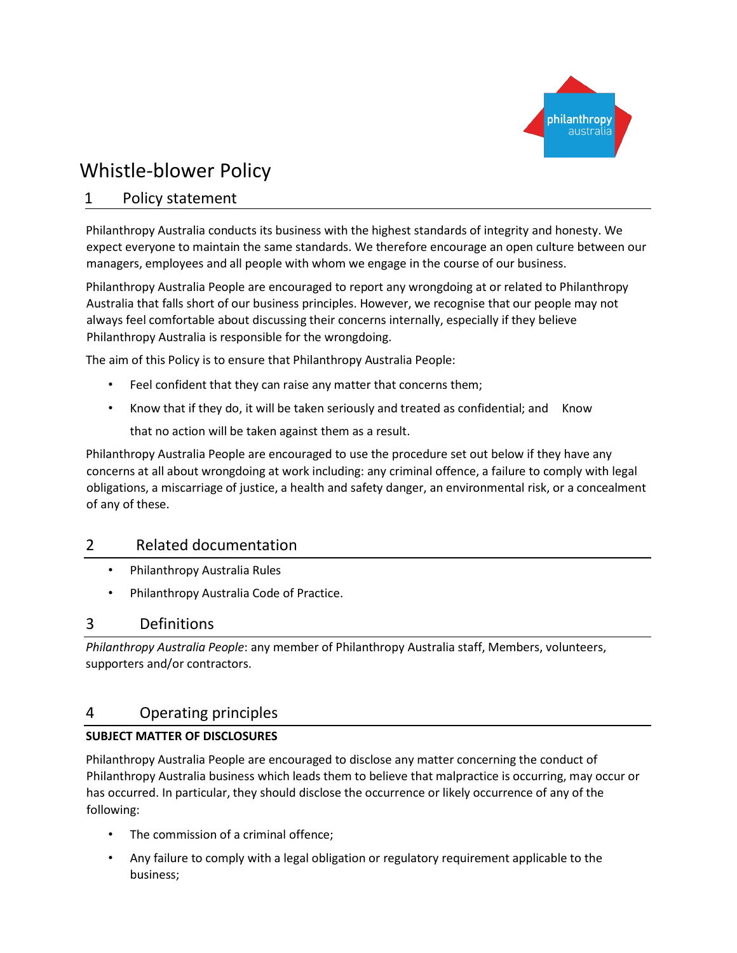

# Whistle-blower Policy

### 1 Policy statement

Philanthropy Australia conducts its business with the highest standards of integrity and honesty. We expect everyone to maintain the same standards. We therefore encourage an open culture between our managers, employees and all people with whom we engage in the course of our business.

Philanthropy Australia People are encouraged to report any wrongdoing at or related to Philanthropy Australia that falls short of our business principles. However, we recognise that our people may not always feel comfortable about discussing their concerns internally, especially if they believe Philanthropy Australia is responsible for the wrongdoing.

The aim of this Policy is to ensure that Philanthropy Australia People:

- Feel confident that they can raise any matter that concerns them;
- Know that if they do, it will be taken seriously and treated as confidential; and Know

that no action will be taken against them as a result.

Philanthropy Australia People are encouraged to use the procedure set out below if they have any concerns at all about wrongdoing at work including: any criminal offence, a failure to comply with legal obligations, a miscarriage of justice, a health and safety danger, an environmental risk, or a concealment of any of these.

## 2 Related documentation

- Philanthropy Australia Rules
- Philanthropy Australia Code of Practice.

### 3 Definitions

*Philanthropy Australia People*: any member of Philanthropy Australia staff, Members, volunteers, supporters and/or contractors.

## 4 Operating principles

### **SUBJECT MATTER OF DISCLOSURES**

Philanthropy Australia People are encouraged to disclose any matter concerning the conduct of Philanthropy Australia business which leads them to believe that malpractice is occurring, may occur or has occurred. In particular, they should disclose the occurrence or likely occurrence of any of the following:

- The commission of a criminal offence;
- Any failure to comply with a legal obligation or regulatory requirement applicable to the business;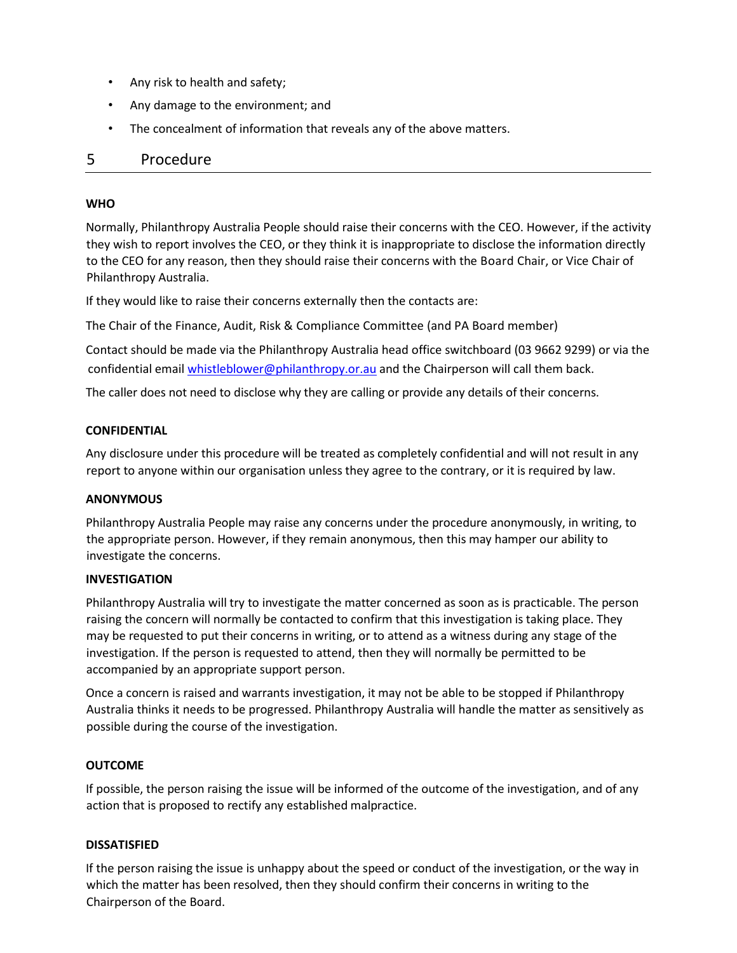- Any risk to health and safety;
- Any damage to the environment; and
- The concealment of information that reveals any of the above matters.

#### 5 Procedure

#### **WHO**

Normally, Philanthropy Australia People should raise their concerns with the CEO. However, if the activity they wish to report involves the CEO, or they think it is inappropriate to disclose the information directly to the CEO for any reason, then they should raise their concerns with the Board Chair, or Vice Chair of Philanthropy Australia.

If they would like to raise their concerns externally then the contacts are:

The Chair of the Finance, Audit, Risk & Compliance Committee (and PA Board member)

Contact should be made via the Philanthropy Australia head office switchboard (03 9662 9299) or via the confidential email [whistleblower@philanthropy.or.au](mailto:whistleblower@philanthropy.or.au) and the Chairperson will call them back.

The caller does not need to disclose why they are calling or provide any details of their concerns.

#### **CONFIDENTIAL**

Any disclosure under this procedure will be treated as completely confidential and will not result in any report to anyone within our organisation unless they agree to the contrary, or it is required by law.

#### **ANONYMOUS**

Philanthropy Australia People may raise any concerns under the procedure anonymously, in writing, to the appropriate person. However, if they remain anonymous, then this may hamper our ability to investigate the concerns.

#### **INVESTIGATION**

Philanthropy Australia will try to investigate the matter concerned as soon as is practicable. The person raising the concern will normally be contacted to confirm that this investigation is taking place. They may be requested to put their concerns in writing, or to attend as a witness during any stage of the investigation. If the person is requested to attend, then they will normally be permitted to be accompanied by an appropriate support person.

Once a concern is raised and warrants investigation, it may not be able to be stopped if Philanthropy Australia thinks it needs to be progressed. Philanthropy Australia will handle the matter as sensitively as possible during the course of the investigation.

#### **OUTCOME**

If possible, the person raising the issue will be informed of the outcome of the investigation, and of any action that is proposed to rectify any established malpractice.

#### **DISSATISFIED**

If the person raising the issue is unhappy about the speed or conduct of the investigation, or the way in which the matter has been resolved, then they should confirm their concerns in writing to the Chairperson of the Board.